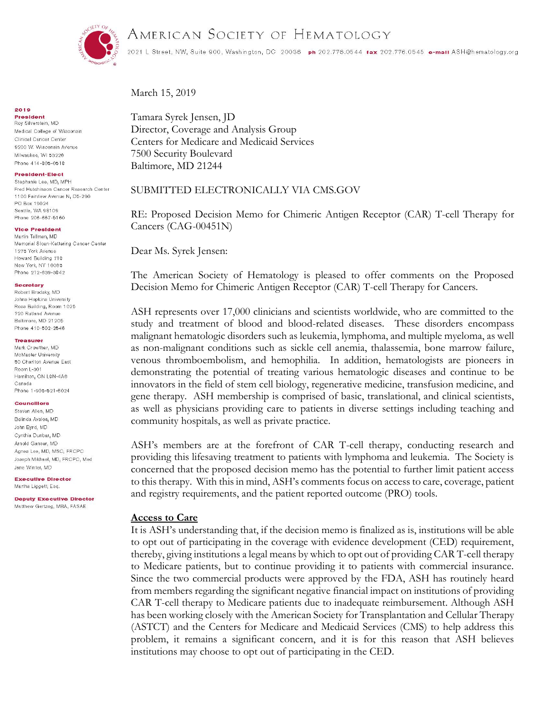

# AMERICAN SOCIETY OF HEMATOLOGY

2021 L Street, NW, Suite 900, Washington, DC 20086 ph 202.776.0544 fax 202.776.0545 e-mall ASH@hematology.org

March 15, 2019

### Tamara Syrek Jensen, JD Director, Coverage and Analysis Group Centers for Medicare and Medicaid Services 7500 Security Boulevard Baltimore, MD 21244

### SUBMITTED ELECTRONICALLY VIA CMS.GOV

RE: Proposed Decision Memo for Chimeric Antigen Receptor (CAR) T-cell Therapy for Cancers (CAG-00451N)

Dear Ms. Syrek Jensen:

The American Society of Hematology is pleased to offer comments on the Proposed Decision Memo for Chimeric Antigen Receptor (CAR) T-cell Therapy for Cancers.

ASH represents over 17,000 clinicians and scientists worldwide, who are committed to the study and treatment of blood and blood-related diseases. These disorders encompass malignant hematologic disorders such as leukemia, lymphoma, and multiple myeloma, as well as non-malignant conditions such as sickle cell anemia, thalassemia, bone marrow failure, venous thromboembolism, and hemophilia. In addition, hematologists are pioneers in demonstrating the potential of treating various hematologic diseases and continue to be innovators in the field of stem cell biology, regenerative medicine, transfusion medicine, and gene therapy. ASH membership is comprised of basic, translational, and clinical scientists, as well as physicians providing care to patients in diverse settings including teaching and community hospitals, as well as private practice.

ASH's members are at the forefront of CAR T-cell therapy, conducting research and providing this lifesaving treatment to patients with lymphoma and leukemia. The Society is concerned that the proposed decision memo has the potential to further limit patient access to this therapy. With this in mind, ASH's comments focus on access to care, coverage, patient and registry requirements, and the patient reported outcome (PRO) tools.

### **Access to Care**

It is ASH's understanding that, if the decision memo is finalized as is, institutions will be able to opt out of participating in the coverage with evidence development (CED) requirement, thereby, giving institutions a legal means by which to opt out of providing CAR T-cell therapy to Medicare patients, but to continue providing it to patients with commercial insurance. Since the two commercial products were approved by the FDA, ASH has routinely heard from members regarding the significant negative financial impact on institutions of providing CAR T-cell therapy to Medicare patients due to inadequate reimbursement. Although ASH has been working closely with the American Society for Transplantation and Cellular Therapy (ASTCT) and the Centers for Medicare and Medicaid Services (CMS) to help address this problem, it remains a significant concern, and it is for this reason that ASH believes institutions may choose to opt out of participating in the CED.

#### 2019

**President** Roy Silverstein, MD Medical College of Wisconsin Clinical Cancer Center 9200 W. Wisconsin Avenue Milwaukee, WI 53226 Phone 414-805-0518

#### **President-Elect**

Stephanie Lee, MD, MPH Fred Hutchinson Cancer Research Center 1100 Fairview Avenue N, D5-290 PO Box 19024 Seattle, WA 98109 Phone 206-667-5160

#### **Vice President**

Martin Tallman, MD Memorial Sloan-Kettering Cancer Center 1275 York Avenue Howard Building 718 New York, NY 10065 Phone 212-639-3842

#### Secretary

Robert Brodsky, MD Johns Hopkins University Ross Building, Room 1025 720 Rutland Avenue Baltimore, MD 21205 Phone 410-502-2546

#### **Treasurer**

Mark Crowther, MD McMaster University 50 Charlton Avenue East Room L-301 Hamilton, ON L8N-4A6 Canada Phone 1-905-521-6024

#### **Councillors**

Steven Allen, MD Belinda Avalos, MD John Byrd, MD Cynthia Dunbar, MD Arnold Ganser, MD Agnes Lee, MD, MSC, FRCPC Joseph Mikhael, MD, FRCPC, Med Jane Winter, MD

**Executive Director** Martha Liggett, Esq.

**Deputy Executive Director** Matthew Gertzog, MBA, FASAE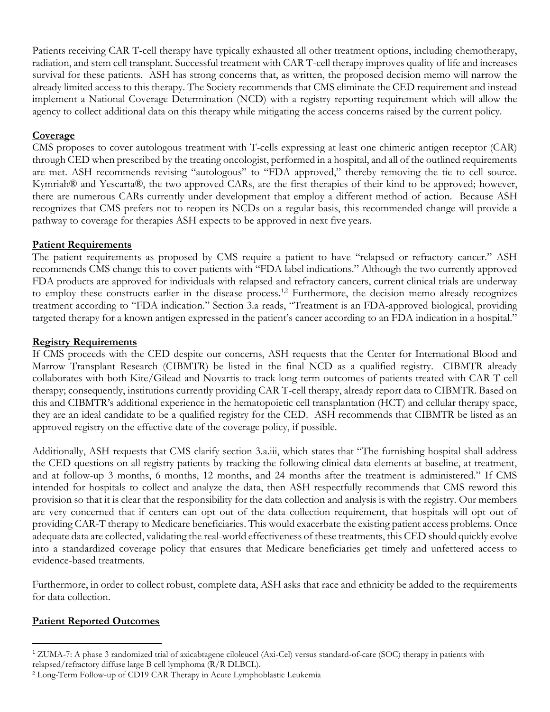Patients receiving CAR T-cell therapy have typically exhausted all other treatment options, including chemotherapy, radiation, and stem cell transplant. Successful treatment with CAR T-cell therapy improves quality of life and increases survival for these patients. ASH has strong concerns that, as written, the proposed decision memo will narrow the already limited access to this therapy. The Society recommends that CMS eliminate the CED requirement and instead implement a National Coverage Determination (NCD) with a registry reporting requirement which will allow the agency to collect additional data on this therapy while mitigating the access concerns raised by the current policy.

## **Coverage**

CMS proposes to cover autologous treatment with T-cells expressing at least one chimeric antigen receptor (CAR) through CED when prescribed by the treating oncologist, performed in a hospital, and all of the outlined requirements are met. ASH recommends revising "autologous" to "FDA approved," thereby removing the tie to cell source. Kymriah® and Yescarta®, the two approved CARs, are the first therapies of their kind to be approved; however, there are numerous CARs currently under development that employ a different method of action. Because ASH recognizes that CMS prefers not to reopen its NCDs on a regular basis, this recommended change will provide a pathway to coverage for therapies ASH expects to be approved in next five years.

## **Patient Requirements**

The patient requirements as proposed by CMS require a patient to have "relapsed or refractory cancer." ASH recommends CMS change this to cover patients with "FDA label indications." Although the two currently approved FDA products are approved for individuals with relapsed and refractory cancers, current clinical trials are underway to employ these constructs earlier in the disease process.<sup>1,2</sup> Furthermore, the decision memo already recognizes treatment according to "FDA indication." Section 3.a reads, "Treatment is an FDA-approved biological, providing targeted therapy for a known antigen expressed in the patient's cancer according to an FDA indication in a hospital."

## **Registry Requirements**

If CMS proceeds with the CED despite our concerns, ASH requests that the Center for International Blood and Marrow Transplant Research (CIBMTR) be listed in the final NCD as a qualified registry. CIBMTR already collaborates with both Kite/Gilead and Novartis to track long-term outcomes of patients treated with CAR T-cell therapy; consequently, institutions currently providing CAR T-cell therapy, already report data to CIBMTR. Based on this and CIBMTR's additional experience in the hematopoietic cell transplantation (HCT) and cellular therapy space, they are an ideal candidate to be a qualified registry for the CED. ASH recommends that CIBMTR be listed as an approved registry on the effective date of the coverage policy, if possible.

Additionally, ASH requests that CMS clarify section 3.a.iii, which states that "The furnishing hospital shall address the CED questions on all registry patients by tracking the following clinical data elements at baseline, at treatment, and at follow-up 3 months, 6 months, 12 months, and 24 months after the treatment is administered." If CMS intended for hospitals to collect and analyze the data, then ASH respectfully recommends that CMS reword this provision so that it is clear that the responsibility for the data collection and analysis is with the registry. Our members are very concerned that if centers can opt out of the data collection requirement, that hospitals will opt out of providing CAR-T therapy to Medicare beneficiaries. This would exacerbate the existing patient access problems. Once adequate data are collected, validating the real-world effectiveness of these treatments, this CED should quickly evolve into a standardized coverage policy that ensures that Medicare beneficiaries get timely and unfettered access to evidence-based treatments.

Furthermore, in order to collect robust, complete data, ASH asks that race and ethnicity be added to the requirements for data collection.

# **Patient Reported Outcomes**

 $\overline{a}$ 

<sup>1</sup> ZUMA-7: A phase 3 randomized trial of axicabtagene ciloleucel (Axi-Cel) versus standard-of-care (SOC) therapy in patients with relapsed/refractory diffuse large B cell lymphoma (R/R DLBCL).

<sup>2</sup> Long-Term Follow-up of CD19 CAR Therapy in Acute Lymphoblastic Leukemia